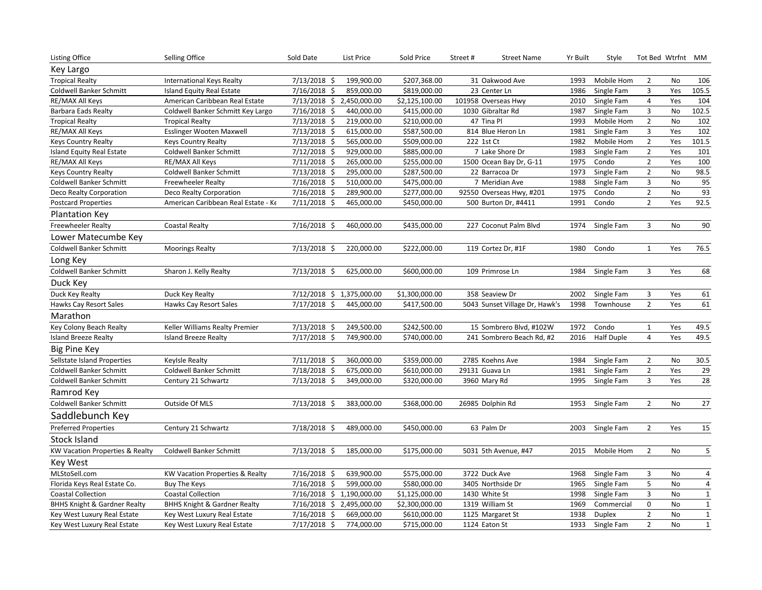| <b>Listing Office</b>                   | Selling Office                             | Sold Date                 | <b>List Price</b> | Sold Price     | Street#              | <b>Street Name</b>             | Yr Built | Style             | Tot Bed Wtrfnt MM |           |                         |
|-----------------------------------------|--------------------------------------------|---------------------------|-------------------|----------------|----------------------|--------------------------------|----------|-------------------|-------------------|-----------|-------------------------|
| Key Largo                               |                                            |                           |                   |                |                      |                                |          |                   |                   |           |                         |
| <b>Tropical Realty</b>                  | International Keys Realty                  | $7/13/2018$ \$            | 199,900.00        | \$207,368.00   | 31 Oakwood Ave       |                                | 1993     | Mobile Hom        | $\overline{2}$    | No        | 106                     |
| Coldwell Banker Schmitt                 | Island Equity Real Estate                  | 7/16/2018 \$              | 859,000.00        | \$819,000.00   | 23 Center Ln         |                                | 1986     | Single Fam        | 3                 | Yes       | 105.5                   |
| RE/MAX All Keys                         | American Caribbean Real Estate             | 7/13/2018 \$ 2,450,000.00 |                   | \$2,125,100.00 | 101958 Overseas Hwy  |                                | 2010     | Single Fam        | $\overline{a}$    | Yes       | 104                     |
| Barbara Eads Realty                     | Coldwell Banker Schmitt Key Largo          | 7/16/2018 \$              | 440,000.00        | \$415,000.00   | 1030 Gibraltar Rd    |                                | 1987     | Single Fam        | 3                 | No        | 102.5                   |
| <b>Tropical Realty</b>                  | <b>Tropical Realty</b>                     | $7/13/2018$ \$            | 219,000.00        | \$210,000.00   | 47 Tina Pl           |                                | 1993     | Mobile Hom        | $\overline{2}$    | No        | 102                     |
| RE/MAX All Keys                         | Esslinger Wooten Maxwell                   | 7/13/2018 \$              | 615,000.00        | \$587,500.00   | 814 Blue Heron Ln    |                                | 1981     | Single Fam        | 3                 | Yes       | 102                     |
| Keys Country Realty                     | <b>Keys Country Realty</b>                 | $7/13/2018$ \$            | 565,000.00        | \$509,000.00   | 222 1st Ct           |                                | 1982     | Mobile Hom        | $\overline{2}$    | Yes       | 101.5                   |
| Island Equity Real Estate               | Coldwell Banker Schmitt                    | $7/12/2018$ \$            | 929,000.00        | \$885,000.00   |                      | 7 Lake Shore Dr                | 1983     | Single Fam        | $\overline{2}$    | Yes       | 101                     |
| RE/MAX All Keys                         | RE/MAX All Keys                            | 7/11/2018 \$              | 265,000.00        | \$255,000.00   |                      | 1500 Ocean Bay Dr, G-11        | 1975     | Condo             | $\overline{2}$    | Yes       | 100                     |
| <b>Keys Country Realty</b>              | Coldwell Banker Schmitt                    | $7/13/2018$ \$            | 295,000.00        | \$287,500.00   | 22 Barracoa Dr       |                                | 1973     | Single Fam        | $\overline{2}$    | No        | 98.5                    |
| <b>Coldwell Banker Schmitt</b>          | <b>Freewheeler Realty</b>                  | 7/16/2018 \$              | 510,000.00        | \$475,000.00   | 7 Meridian Ave       |                                | 1988     | Single Fam        | $\mathsf 3$       | No        | 95                      |
| Deco Realty Corporation                 | Deco Realty Corporation                    | 7/16/2018 \$              | 289,900.00        | \$277,000.00   |                      | 92550 Overseas Hwy, #201       | 1975     | Condo             | $\overline{2}$    | No        | 93                      |
| <b>Postcard Properties</b>              | American Caribbean Real Estate - Ke        | $7/11/2018$ \$            | 465,000.00        | \$450,000.00   |                      | 500 Burton Dr, #4411           | 1991     | Condo             | $\overline{2}$    | Yes       | 92.5                    |
| <b>Plantation Key</b>                   |                                            |                           |                   |                |                      |                                |          |                   |                   |           |                         |
| Freewheeler Realty                      | <b>Coastal Realty</b>                      | 7/16/2018 \$              | 460,000.00        | \$435,000.00   |                      | 227 Coconut Palm Blvd          | 1974     | Single Fam        | 3                 | <b>No</b> | 90                      |
| Lower Matecumbe Key                     |                                            |                           |                   |                |                      |                                |          |                   |                   |           |                         |
| Coldwell Banker Schmitt                 | <b>Moorings Realty</b>                     | $7/13/2018$ \$            | 220,000.00        | \$222,000.00   | 119 Cortez Dr, #1F   |                                | 1980     | Condo             | $\mathbf{1}$      | Yes       | 76.5                    |
| Long Key                                |                                            |                           |                   |                |                      |                                |          |                   |                   |           |                         |
| Coldwell Banker Schmitt                 | Sharon J. Kelly Realty                     | $7/13/2018$ \$            | 625,000.00        | \$600,000.00   | 109 Primrose Ln      |                                | 1984     | Single Fam        | 3                 | Yes       | 68                      |
| Duck Key                                |                                            |                           |                   |                |                      |                                |          |                   |                   |           |                         |
| Duck Key Realty                         | Duck Key Realty                            | 7/12/2018 \$ 1,375,000.00 |                   | \$1,300,000.00 | 358 Seaview Dr       |                                | 2002     | Single Fam        | 3                 | Yes       | 61                      |
| Hawks Cay Resort Sales                  | <b>Hawks Cay Resort Sales</b>              | $7/17/2018$ \$            | 445,000.00        | \$417,500.00   |                      | 5043 Sunset Village Dr, Hawk's | 1998     | Townhouse         | $\overline{2}$    | Yes       | 61                      |
| Marathon                                |                                            |                           |                   |                |                      |                                |          |                   |                   |           |                         |
| Key Colony Beach Realty                 | Keller Williams Realty Premier             | $7/13/2018$ \$            | 249,500.00        | \$242,500.00   |                      | 15 Sombrero Blvd, #102W        | 1972     | Condo             | $\mathbf{1}$      | Yes       | 49.5                    |
| <b>Island Breeze Realty</b>             | <b>Island Breeze Realty</b>                | $7/17/2018$ \$            | 749,900.00        | \$740,000.00   |                      | 241 Sombrero Beach Rd, #2      | 2016     | <b>Half Duple</b> | $\overline{4}$    | Yes       | 49.5                    |
| <b>Big Pine Key</b>                     |                                            |                           |                   |                |                      |                                |          |                   |                   |           |                         |
| Sellstate Island Properties             | Keylsle Realty                             | $7/11/2018$ \$            | 360,000.00        | \$359,000.00   | 2785 Koehns Ave      |                                | 1984     | Single Fam        | $\overline{2}$    | No        | 30.5                    |
| Coldwell Banker Schmitt                 | <b>Coldwell Banker Schmitt</b>             | 7/18/2018 \$              | 675,000.00        | \$610,000.00   | 29131 Guava Ln       |                                | 1981     | Single Fam        | $\overline{2}$    | Yes       | 29                      |
| Coldwell Banker Schmitt                 | Century 21 Schwartz                        | $7/13/2018$ \$            | 349,000.00        | \$320,000.00   | 3960 Mary Rd         |                                | 1995     | Single Fam        | 3                 | Yes       | 28                      |
| Ramrod Key                              |                                            |                           |                   |                |                      |                                |          |                   |                   |           |                         |
| Coldwell Banker Schmitt                 | Outside Of MLS                             | $7/13/2018$ \$            | 383,000.00        | \$368,000.00   | 26985 Dolphin Rd     |                                | 1953     | Single Fam        | $\overline{2}$    | No        | $27\,$                  |
| Saddlebunch Key                         |                                            |                           |                   |                |                      |                                |          |                   |                   |           |                         |
| <b>Preferred Properties</b>             | Century 21 Schwartz                        | 7/18/2018 \$              | 489,000.00        | \$450,000.00   | 63 Palm Dr           |                                | 2003     | Single Fam        | $\overline{2}$    | Yes       | 15                      |
| Stock Island                            |                                            |                           |                   |                |                      |                                |          |                   |                   |           |                         |
| KW Vacation Properties & Realty         | Coldwell Banker Schmitt                    | $7/13/2018$ \$            | 185,000.00        | \$175,000.00   | 5031 5th Avenue, #47 |                                | 2015     | Mobile Hom        | $\overline{2}$    | No        | $\overline{\mathbf{5}}$ |
| <b>Key West</b>                         |                                            |                           |                   |                |                      |                                |          |                   |                   |           |                         |
| MLStoSell.com                           | <b>KW Vacation Properties &amp; Realty</b> | 7/16/2018 \$              | 639,900.00        | \$575,000.00   | 3722 Duck Ave        |                                | 1968     | Single Fam        | 3                 | No        | $\overline{a}$          |
| Florida Keys Real Estate Co.            | <b>Buy The Keys</b>                        | $7/16/2018$ \$            | 599,000.00        | \$580,000.00   | 3405 Northside Dr    |                                | 1965     | Single Fam        | $\mathsf S$       | No        | $\overline{a}$          |
| <b>Coastal Collection</b>               | <b>Coastal Collection</b>                  | 7/16/2018 \$ 1,190,000.00 |                   | \$1,125,000.00 | 1430 White St        |                                | 1998     | Single Fam        | 3                 | No        | $\mathbf{1}$            |
| <b>BHHS Knight &amp; Gardner Realty</b> | <b>BHHS Knight &amp; Gardner Realty</b>    | 7/16/2018 \$ 2,495,000.00 |                   | \$2,300,000.00 | 1319 William St      |                                | 1969     | Commercial        | 0                 | No        | $\mathbf 1$             |
| Key West Luxury Real Estate             | Key West Luxury Real Estate                | $7/16/2018$ \$            | 669,000.00        | \$610,000.00   | 1125 Margaret St     |                                | 1938     | Duplex            | $\overline{2}$    | No        | $\overline{1}$          |
| Key West Luxury Real Estate             | Key West Luxury Real Estate                | $7/17/2018$ \$            | 774,000.00        | \$715,000.00   | 1124 Eaton St        |                                | 1933     | Single Fam        | $\overline{2}$    | <b>No</b> | $\mathbf{1}$            |